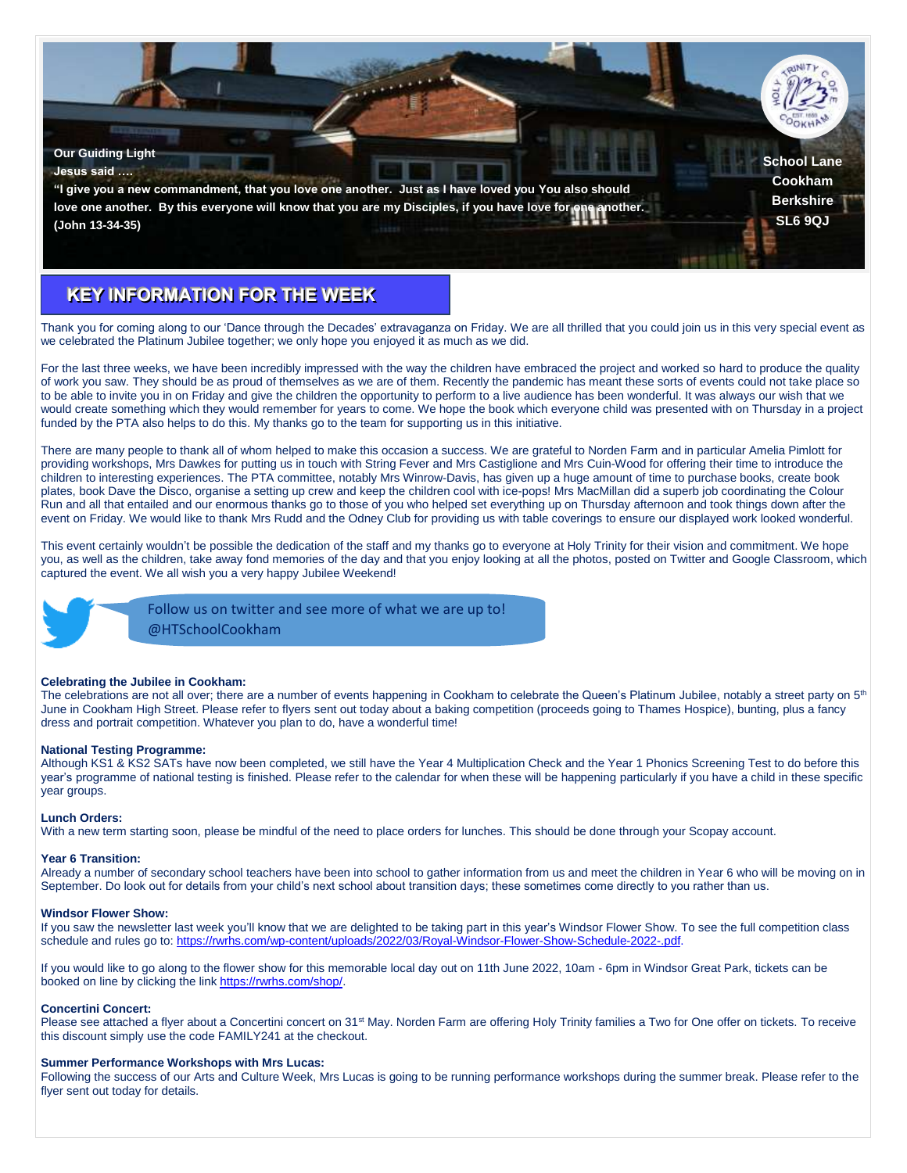

# **KEY INFORMATION FOR THE WEEK**

Thank you for coming along to our 'Dance through the Decades' extravaganza on Friday. We are all thrilled that you could join us in this very special event as we celebrated the Platinum Jubilee together; we only hope you enjoyed it as much as we did.

For the last three weeks, we have been incredibly impressed with the way the children have embraced the project and worked so hard to produce the quality of work you saw. They should be as proud of themselves as we are of them. Recently the pandemic has meant these sorts of events could not take place so to be able to invite you in on Friday and give the children the opportunity to perform to a live audience has been wonderful. It was always our wish that we would create something which they would remember for years to come. We hope the book which everyone child was presented with on Thursday in a project funded by the PTA also helps to do this. My thanks go to the team for supporting us in this initiative.

There are many people to thank all of whom helped to make this occasion a success. We are grateful to Norden Farm and in particular Amelia Pimlott for providing workshops, Mrs Dawkes for putting us in touch with String Fever and Mrs Castiglione and Mrs Cuin-Wood for offering their time to introduce the children to interesting experiences. The PTA committee, notably Mrs Winrow-Davis, has given up a huge amount of time to purchase books, create book plates, book Dave the Disco, organise a setting up crew and keep the children cool with ice-pops! Mrs MacMillan did a superb job coordinating the Colour Run and all that entailed and our enormous thanks go to those of you who helped set everything up on Thursday afternoon and took things down after the event on Friday. We would like to thank Mrs Rudd and the Odney Club for providing us with table coverings to ensure our displayed work looked wonderful.

This event certainly wouldn't be possible the dedication of the staff and my thanks go to everyone at Holy Trinity for their vision and commitment. We hope you, as well as the children, take away fond memories of the day and that you enjoy looking at all the photos, posted on Twitter and Google Classroom, which captured the event. We all wish you a very happy Jubilee Weekend!



Follow us on twitter and see more of what we are up to!

@HTSchoolCookham

# **Celebrating the Jubilee in Cookham:**

The celebrations are not all over; there are a number of events happening in Cookham to celebrate the Queen's Platinum Jubilee, notably a street party on 5<sup>th</sup> June in Cookham High Street. Please refer to flyers sent out today about a baking competition (proceeds going to Thames Hospice), bunting, plus a fancy dress and portrait competition. Whatever you plan to do, have a wonderful time!

#### **National Testing Programme:**

Although KS1 & KS2 SATs have now been completed, we still have the Year 4 Multiplication Check and the Year 1 Phonics Screening Test to do before this year's programme of national testing is finished. Please refer to the calendar for when these will be happening particularly if you have a child in these specific year groups.

### **Lunch Orders:**

With a new term starting soon, please be mindful of the need to place orders for lunches. This should be done through your Scopay account.

#### **Year 6 Transition:**

Already a number of secondary school teachers have been into school to gather information from us and meet the children in Year 6 who will be moving on in September. Do look out for details from your child's next school about transition days; these sometimes come directly to you rather than us.

#### **Windsor Flower Show:**

If you saw the newsletter last week you'll know that we are delighted to be taking part in this year's Windsor Flower Show. To see the full competition class schedule and rules go to: [https://rwrhs.com/wp-content/uploads/2022/03/Royal-Windsor-Flower-Show-Schedule-2022-.pdf.](https://rwrhs.com/wp-content/uploads/2022/03/Royal-Windsor-Flower-Show-Schedule-2022-.pdf)

If you would like to go along to the flower show for this memorable local day out on 11th June 2022, 10am - 6pm in Windsor Great Park, tickets can be booked on line by clicking the link [https://rwrhs.com/shop/.](https://rwrhs.com/shop/)

# **Concertini Concert:**

Please see attached a flyer about a Concertini concert on 31<sup>st</sup> May. Norden Farm are offering Holy Trinity families a Two for One offer on tickets. To receive this discount simply use the code FAMILY241 at the checkout.

#### **Summer Performance Workshops with Mrs Lucas:**

Following the success of our Arts and Culture Week, Mrs Lucas is going to be running performance workshops during the summer break. Please refer to the flyer sent out today for details.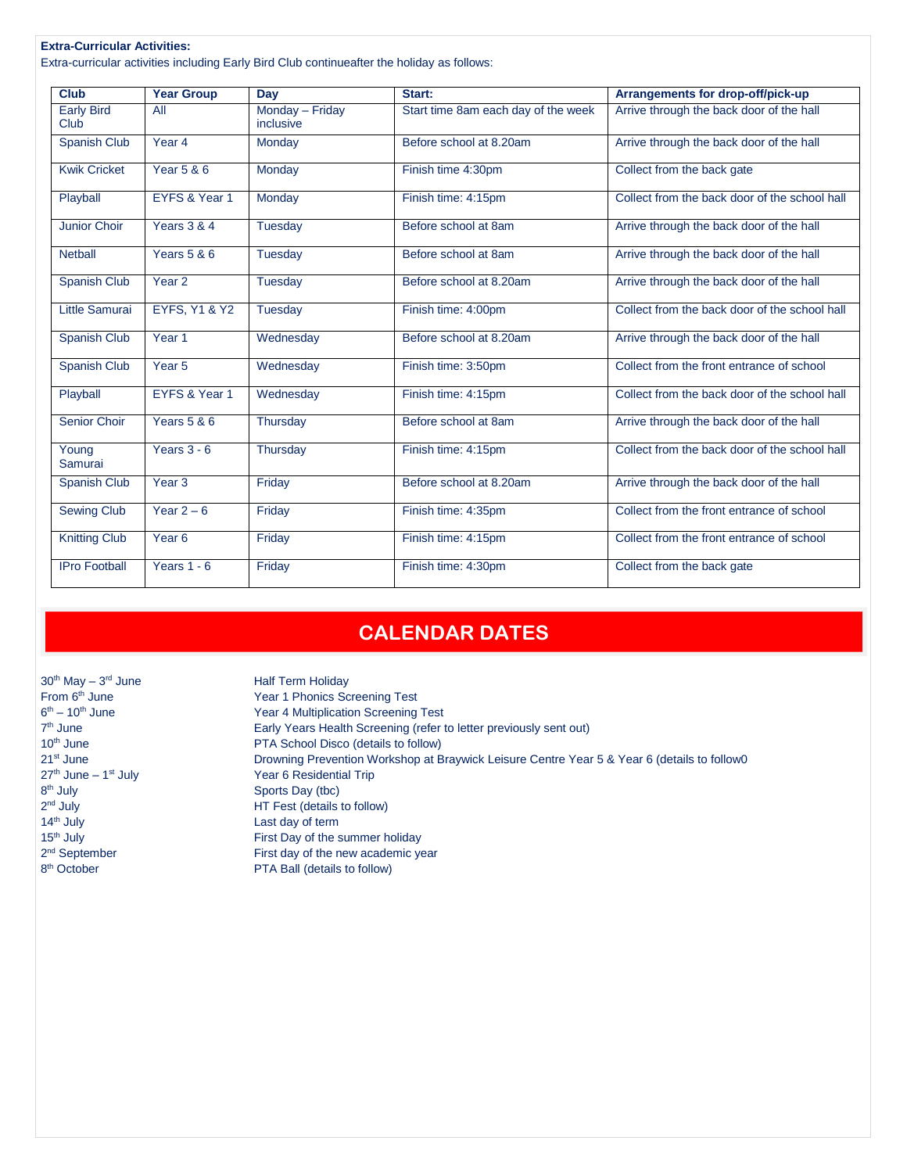# **Extra-Curricular Activities:**

Extra-curricular activities including Early Bird Club continueafter the holiday as follows:

| <b>Club</b>               | <b>Year Group</b>        | Dav                          | Start:                              | Arrangements for drop-off/pick-up             |
|---------------------------|--------------------------|------------------------------|-------------------------------------|-----------------------------------------------|
| <b>Early Bird</b><br>Club | All                      | Monday - Friday<br>inclusive | Start time 8am each day of the week | Arrive through the back door of the hall      |
| <b>Spanish Club</b>       | Year <sub>4</sub>        | Monday                       | Before school at 8.20am             | Arrive through the back door of the hall      |
| <b>Kwik Cricket</b>       | Year 5 & 6               | Monday                       | Finish time 4:30pm                  | Collect from the back gate                    |
| Playball                  | EYFS & Year 1            | Monday                       | Finish time: 4:15pm                 | Collect from the back door of the school hall |
| <b>Junior Choir</b>       | Years 3 & 4              | Tuesday                      | Before school at 8am                | Arrive through the back door of the hall      |
| <b>Netball</b>            | Years 5 & 6              | Tuesday                      | Before school at 8am                | Arrive through the back door of the hall      |
| <b>Spanish Club</b>       | Year <sub>2</sub>        | Tuesday                      | Before school at 8.20am             | Arrive through the back door of the hall      |
| Little Samurai            | <b>EYFS, Y1 &amp; Y2</b> | Tuesday                      | Finish time: 4:00pm                 | Collect from the back door of the school hall |
| <b>Spanish Club</b>       | Year <sub>1</sub>        | Wednesday                    | Before school at 8.20am             | Arrive through the back door of the hall      |
| <b>Spanish Club</b>       | Year <sub>5</sub>        | Wednesday                    | Finish time: 3:50pm                 | Collect from the front entrance of school     |
| Playball                  | EYFS & Year 1            | Wednesday                    | Finish time: 4:15pm                 | Collect from the back door of the school hall |
| <b>Senior Choir</b>       | Years $5 & 6$            | Thursday                     | Before school at 8am                | Arrive through the back door of the hall      |
| Young<br>Samurai          | Years $3 - 6$            | Thursday                     | Finish time: 4:15pm                 | Collect from the back door of the school hall |
| <b>Spanish Club</b>       | Year <sub>3</sub>        | Friday                       | Before school at 8.20am             | Arrive through the back door of the hall      |
| <b>Sewing Club</b>        | Year $2-6$               | Friday                       | Finish time: 4:35pm                 | Collect from the front entrance of school     |
| <b>Knitting Club</b>      | Year <sub>6</sub>        | Friday                       | Finish time: 4:15pm                 | Collect from the front entrance of school     |
| <b>IPro Football</b>      | Years $1 - 6$            | Friday                       | Finish time: 4:30pm                 | Collect from the back gate                    |

# **CALENDAR DATES**

 $30<sup>th</sup>$  May  $-3<sup>rd</sup>$  June  $6<sup>th</sup> - 10<sup>th</sup>$  June 7<sup>th</sup> June<br>10<sup>th</sup> June  $27<sup>th</sup>$  June – 1<sup>st</sup> July 8<sup>th</sup> July 2<sup>nd</sup> July 14<sup>th</sup> July **Last day of term** 2<sup>nd</sup> September 8<sup>th</sup> October

Half Term Holiday From 6<sup>th</sup> June Year 1 Phonics Screening Test Year 4 Multiplication Screening Test Early Years Health Screening (refer to letter previously sent out) 10th June 10th PTA School Disco (details to follow)<br>
21<sup>st</sup> June 10th Drowning Prevention Workshop at B Drowning Prevention Workshop at Braywick Leisure Centre Year 5 & Year 6 (details to follow0 Year 6 Residential Trip Sports Day (tbc) HT Fest (details to follow) 15<sup>th</sup> July **First Day of the summer holiday** First day of the new academic year PTA Ball (details to follow)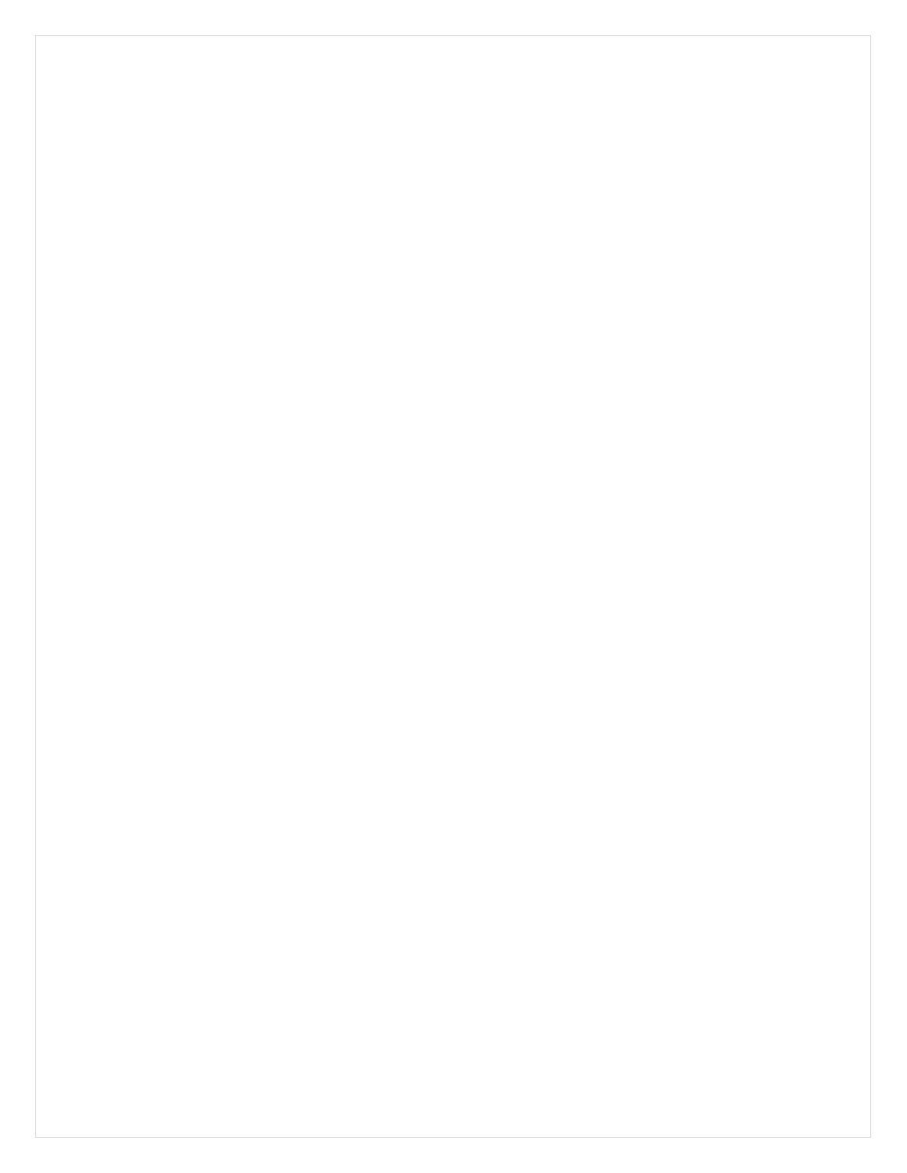